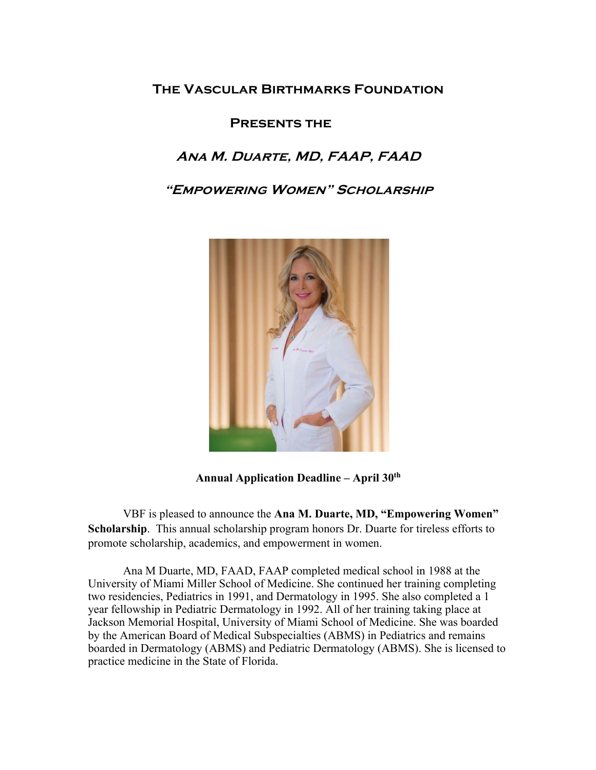## **The Vascular Birthmarks Foundation**

### **Presents the**

# **Ana M. Duarte, MD, FAAP, FAAD**

**"Empowering Women" Scholarship**



**Annual Application Deadline – April 30th**

VBF is pleased to announce the **Ana M. Duarte, MD, "Empowering Women" Scholarship**. This annual scholarship program honors Dr. Duarte for tireless efforts to promote scholarship, academics, and empowerment in women.

Ana M Duarte, MD, FAAD, FAAP completed medical school in 1988 at the University of Miami Miller School of Medicine. She continued her training completing two residencies, Pediatrics in 1991, and Dermatology in 1995. She also completed a 1 year fellowship in Pediatric Dermatology in 1992. All of her training taking place at Jackson Memorial Hospital, University of Miami School of Medicine. She was boarded by the American Board of Medical Subspecialties (ABMS) in Pediatrics and remains boarded in Dermatology (ABMS) and Pediatric Dermatology (ABMS). She is licensed to practice medicine in the State of Florida.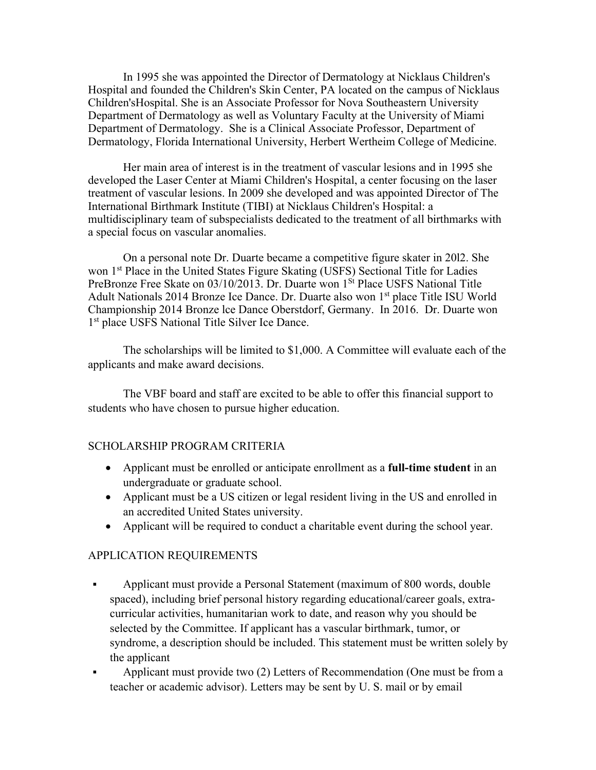In 1995 she was appointed the Director of Dermatology at Nicklaus Children's Hospital and founded the Children's Skin Center, PA located on the campus of Nicklaus Children'sHospital. She is an Associate Professor for Nova Southeastern University Department of Dermatology as well as Voluntary Faculty at the University of Miami Department of Dermatology. She is a Clinical Associate Professor, Department of Dermatology, Florida International University, Herbert Wertheim College of Medicine.

Her main area of interest is in the treatment of vascular lesions and in 1995 she developed the Laser Center at Miami Children's Hospital, a center focusing on the laser treatment of vascular lesions. In 2009 she developed and was appointed Director of The International Birthmark Institute (TIBI) at Nicklaus Children's Hospital: a multidisciplinary team of subspecialists dedicated to the treatment of all birthmarks with a special focus on vascular anomalies.

On a personal note Dr. Duarte became a competitive figure skater in 20l2. She won 1<sup>st</sup> Place in the United States Figure Skating (USFS) Sectional Title for Ladies PreBronze Free Skate on 03/10/2013. Dr. Duarte won 1<sup>St</sup> Place USFS National Title Adult Nationals 2014 Bronze Ice Dance. Dr. Duarte also won 1<sup>st</sup> place Title ISU World Championship 2014 Bronze lce Dance Oberstdorf, Germany. In 2016. Dr. Duarte won 1<sup>st</sup> place USFS National Title Silver Ice Dance.

The scholarships will be limited to \$1,000. A Committee will evaluate each of the applicants and make award decisions.

The VBF board and staff are excited to be able to offer this financial support to students who have chosen to pursue higher education.

### SCHOLARSHIP PROGRAM CRITERIA

- Applicant must be enrolled or anticipate enrollment as a **full-time student** in an undergraduate or graduate school.
- Applicant must be a US citizen or legal resident living in the US and enrolled in an accredited United States university.
- Applicant will be required to conduct a charitable event during the school year.

### APPLICATION REQUIREMENTS

- § Applicant must provide a Personal Statement (maximum of 800 words, double spaced), including brief personal history regarding educational/career goals, extracurricular activities, humanitarian work to date, and reason why you should be selected by the Committee. If applicant has a vascular birthmark, tumor, or syndrome, a description should be included. This statement must be written solely by the applicant
- § Applicant must provide two (2) Letters of Recommendation (One must be from a teacher or academic advisor). Letters may be sent by U. S. mail or by email